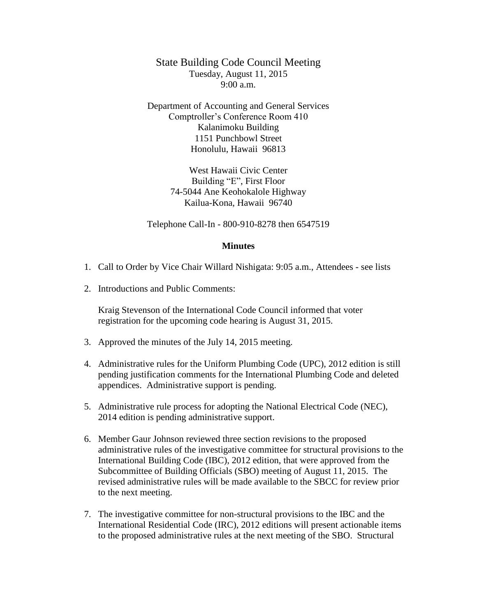State Building Code Council Meeting Tuesday, August 11, 2015 9:00 a.m.

Department of Accounting and General Services Comptroller's Conference Room 410 Kalanimoku Building 1151 Punchbowl Street Honolulu, Hawaii 96813

> West Hawaii Civic Center Building "E", First Floor 74-5044 Ane Keohokalole Highway Kailua-Kona, Hawaii 96740

Telephone Call-In - 800-910-8278 then 6547519

## **Minutes**

- 1. Call to Order by Vice Chair Willard Nishigata: 9:05 a.m., Attendees see lists
- 2. Introductions and Public Comments:

Kraig Stevenson of the International Code Council informed that voter registration for the upcoming code hearing is August 31, 2015.

- 3. Approved the minutes of the July 14, 2015 meeting.
- 4. Administrative rules for the Uniform Plumbing Code (UPC), 2012 edition is still pending justification comments for the International Plumbing Code and deleted appendices. Administrative support is pending.
- 5. Administrative rule process for adopting the National Electrical Code (NEC), 2014 edition is pending administrative support.
- 6. Member Gaur Johnson reviewed three section revisions to the proposed administrative rules of the investigative committee for structural provisions to the International Building Code (IBC), 2012 edition, that were approved from the Subcommittee of Building Officials (SBO) meeting of August 11, 2015. The revised administrative rules will be made available to the SBCC for review prior to the next meeting.
- 7. The investigative committee for non-structural provisions to the IBC and the International Residential Code (IRC), 2012 editions will present actionable items to the proposed administrative rules at the next meeting of the SBO. Structural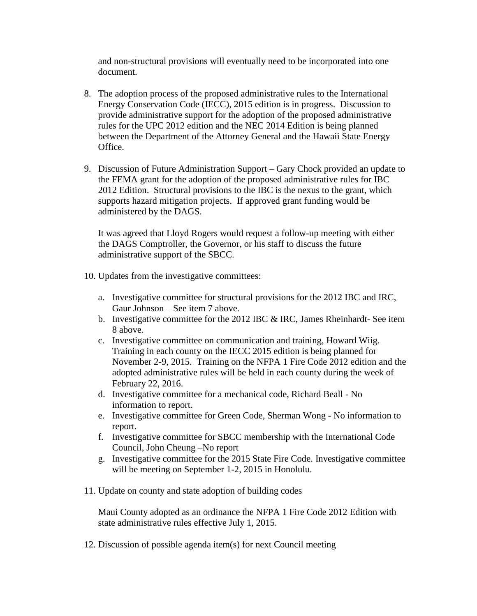and non-structural provisions will eventually need to be incorporated into one document.

- 8. The adoption process of the proposed administrative rules to the International Energy Conservation Code (IECC), 2015 edition is in progress. Discussion to provide administrative support for the adoption of the proposed administrative rules for the UPC 2012 edition and the NEC 2014 Edition is being planned between the Department of the Attorney General and the Hawaii State Energy Office.
- 9. Discussion of Future Administration Support Gary Chock provided an update to the FEMA grant for the adoption of the proposed administrative rules for IBC 2012 Edition. Structural provisions to the IBC is the nexus to the grant, which supports hazard mitigation projects. If approved grant funding would be administered by the DAGS.

It was agreed that Lloyd Rogers would request a follow-up meeting with either the DAGS Comptroller, the Governor, or his staff to discuss the future administrative support of the SBCC.

- 10. Updates from the investigative committees:
	- a. Investigative committee for structural provisions for the 2012 IBC and IRC, Gaur Johnson – See item 7 above.
	- b. Investigative committee for the 2012 IBC & IRC, James Rheinhardt- See item 8 above.
	- c. Investigative committee on communication and training, Howard Wiig. Training in each county on the IECC 2015 edition is being planned for November 2-9, 2015. Training on the NFPA 1 Fire Code 2012 edition and the adopted administrative rules will be held in each county during the week of February 22, 2016.
	- d. Investigative committee for a mechanical code, Richard Beall No information to report.
	- e. Investigative committee for Green Code, Sherman Wong No information to report.
	- f. Investigative committee for SBCC membership with the International Code Council, John Cheung –No report
	- g. Investigative committee for the 2015 State Fire Code. Investigative committee will be meeting on September 1-2, 2015 in Honolulu.
- 11. Update on county and state adoption of building codes

Maui County adopted as an ordinance the NFPA 1 Fire Code 2012 Edition with state administrative rules effective July 1, 2015.

12. Discussion of possible agenda item(s) for next Council meeting